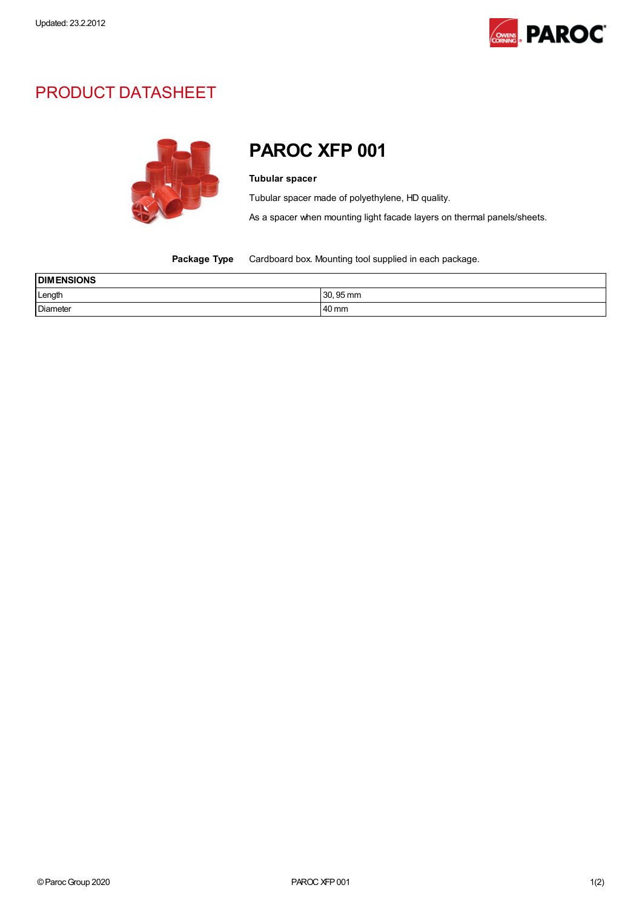

## PRODUCT DATASHEET



## PAROC XFP 001

## Tubular spacer

Tubular spacer made of polyethylene, HD quality.

As a spacer when mounting light facade layers on thermal panels/sheets.

Package Type Cardboard box. Mounting tool supplied in each package.

| <b>DIMENSIONS</b> |           |  |
|-------------------|-----------|--|
| Length            | 30, 95 mm |  |
| <b>Diameter</b>   | 40 mm     |  |